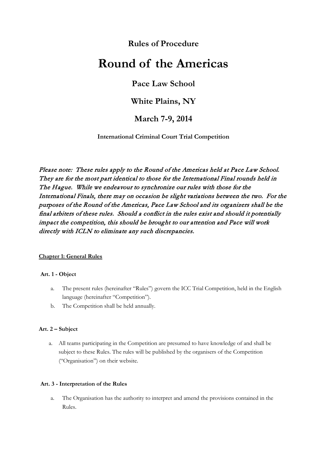# **Rules of Procedure**

# **Round of the Americas**

# **Pace Law School**

# **White Plains, NY**

# **March 7-9, 2014**

**International Criminal Court Trial Competition**

Please note: These rules apply to the Round of the Americas held at Pace Law School. They are for the most part identical to those for the International Final rounds held in The Hague. While we endeavour to synchronize our rules with those for the International Finals, there may on occasion be slight variations between the two. For the purposes of the Round of the Americas, Pace Law School and its organizers shall be the final arbiters of these rules. Should a conflict in the rules exist and should it potentially impact the competition, this should be brought to our attention and Pace will work directly with ICLN to eliminate any such discrepancies.

# **Chapter 1: General Rules**

#### **Art. 1 - Object**

- a. The present rules (hereinafter "Rules") govern the ICC Trial Competition, held in the English language (hereinafter "Competition").
- b. The Competition shall be held annually.

# **Art. 2 – Subject**

a. All teams participating in the Competition are presumed to have knowledge of and shall be subject to these Rules. The rules will be published by the organisers of the Competition ("Organisation") on their website.

# **Art. 3 - Interpretation of the Rules**

a. The Organisation has the authority to interpret and amend the provisions contained in the Rules.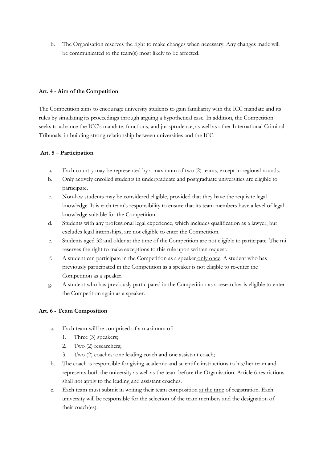b. The Organisation reserves the right to make changes when necessary. Any changes made will be communicated to the team(s) most likely to be affected.

#### **Art. 4 - Aim of the Competition**

The Competition aims to encourage university students to gain familiarity with the ICC mandate and its rules by simulating its proceedings through arguing a hypothetical case. In addition, the Competition seeks to advance the ICC's mandate, functions, and jurisprudence, as well as other International Criminal Tribunals, in building strong relationship between universities and the ICC.

# **Art. 5 – Participation**

- a. Each country may be represented by a maximum of two (2) teams, except in regional rounds.
- b. Only actively enrolled students in undergraduate and postgraduate universities are eligible to participate.
- c. Non-law students may be considered eligible, provided that they have the requisite legal knowledge. It is each team's responsibility to ensure that its team members have a level of legal knowledge suitable for the Competition.
- d. Students with any professional legal experience, which includes qualification as a lawyer, but excludes legal internships, are not eligible to enter the Competition.
- e. Students aged 32 and older at the time of the Competition are not eligible to participate. The mi reserves the right to make exceptions to this rule upon written request.
- f. A student can participate in the Competition as a speaker only once. A student who has previously participated in the Competition as a speaker is not eligible to re-enter the Competition as a speaker.
- g. A student who has previously participated in the Competition as a researcher is eligible to enter the Competition again as a speaker.

# **Art. 6 - Team Composition**

- a. Each team will be comprised of a maximum of:
	- 1. Three (3) speakers;
	- 2. Two (2) researchers;
	- 3. Two (2) coaches: one leading coach and one assistant coach;
- b. The coach is responsible for giving academic and scientific instructions to his/her team and represents both the university as well as the team before the Organisation. Article 6 restrictions shall not apply to the leading and assistant coaches.
- c. Each team must submit in writing their team composition at the time of registration. Each university will be responsible for the selection of the team members and the designation of their coach(es).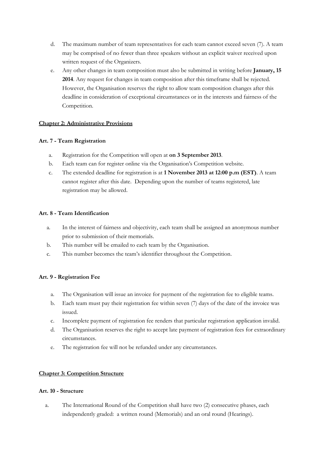- d. The maximum number of team representatives for each team cannot exceed seven (7). A team may be comprised of no fewer than three speakers without an explicit waiver received upon written request of the Organizers.
- e. Any other changes in team composition must also be submitted in writing before **January, 15 2014**. Any request for changes in team composition after this timeframe shall be rejected. However, the Organisation reserves the right to allow team composition changes after this deadline in consideration of exceptional circumstances or in the interests and fairness of the Competition.

#### **Chapter 2: Administrative Provisions**

#### **Art. 7 - Team Registration**

- a. Registration for the Competition will open at **on 3 September 2013**.
- b. Each team can for register online via the Organisation's Competition website.
- c. The extended deadline for registration is at **1 November 2013 at 12:00 p.m (EST)**. A team cannot register after this date. Depending upon the number of teams registered, late registration may be allowed.

#### **Art. 8 - Team Identification**

- a. In the interest of fairness and objectivity, each team shall be assigned an anonymous number prior to submission of their memorials.
- b. This number will be emailed to each team by the Organisation.
- c. This number becomes the team's identifier throughout the Competition.

# **Art. 9 - Registration Fee**

- a. The Organisation will issue an invoice for payment of the registration fee to eligible teams.
- b. Each team must pay their registration fee within seven (7) days of the date of the invoice was issued.
- c. Incomplete payment of registration fee renders that particular registration application invalid.
- d. The Organisation reserves the right to accept late payment of registration fees for extraordinary circumstances.
- e. The registration fee will not be refunded under any circumstances.

#### **Chapter 3: Competition Structure**

#### **Art. 10 - Structure**

a. The International Round of the Competition shall have two (2) consecutive phases, each independently graded: a written round (Memorials) and an oral round (Hearings).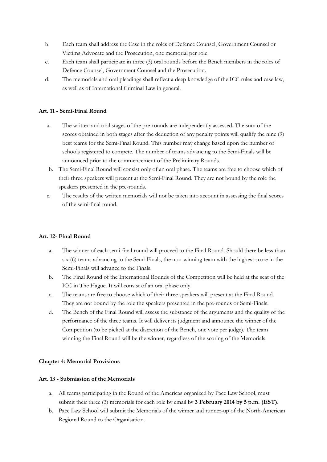- b. Each team shall address the Case in the roles of Defence Counsel, Government Counsel or Victims Advocate and the Prosecution, one memorial per role.
- c. Each team shall participate in three (3) oral rounds before the Bench members in the roles of Defence Counsel, Government Counsel and the Prosecution.
- d. The memorials and oral pleadings shall reflect a deep knowledge of the ICC rules and case law, as well as of International Criminal Law in general.

#### **Art. 11 - Semi-Final Round**

- a. The written and oral stages of the pre-rounds are independently assessed. The sum of the scores obtained in both stages after the deduction of any penalty points will qualify the nine (9) best teams for the Semi-Final Round. This number may change based upon the number of schools registered to compete. The number of teams advancing to the Semi-Finals will be announced prior to the commencement of the Preliminary Rounds.
- b. The Semi-Final Round will consist only of an oral phase. The teams are free to choose which of their three speakers will present at the Semi-Final Round. They are not bound by the role the speakers presented in the pre-rounds.
- c. The results of the written memorials will not be taken into account in assessing the final scores of the semi-final round.

#### **Art. 12- Final Round**

- a. The winner of each semi-final round will proceed to the Final Round. Should there be less than six (6) teams advancing to the Semi-Finals, the non-winning team with the highest score in the Semi-Finals will advance to the Finals.
- b. The Final Round of the International Rounds of the Competition will be held at the seat of the ICC in The Hague. It will consist of an oral phase only.
- c. The teams are free to choose which of their three speakers will present at the Final Round. They are not bound by the role the speakers presented in the pre-rounds or Semi-Finals.
- d. The Bench of the Final Round will assess the substance of the arguments and the quality of the performance of the three teams. It will deliver its judgment and announce the winner of the Competition (to be picked at the discretion of the Bench, one vote per judge). The team winning the Final Round will be the winner, regardless of the scoring of the Memorials.

#### **Chapter 4: Memorial Provisions**

#### **Art. 13 - Submission of the Memorials**

- a. All teams participating in the Round of the Americas organized by Pace Law School, must submit their three (3) memorials for each role by email by **3 February 2014 by 5 p.m. (EST).**
- b. Pace Law School will submit the Memorials of the winner and runner-up of the North-American Regional Round to the Organisation.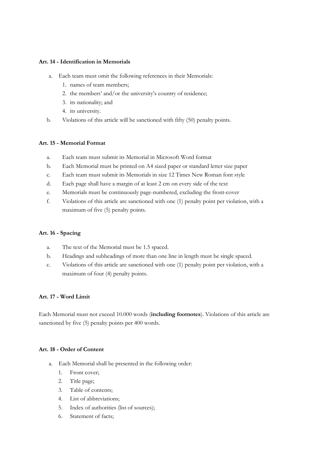#### **Art. 14 - Identification in Memorials**

- a. Each team must omit the following references in their Memorials:
	- 1. names of team members;
	- 2. the members' and/or the university's country of residence;
	- 3. its nationality; and
	- 4. its university.
- b. Violations of this article will be sanctioned with fifty (50) penalty points.

#### **Art. 15 - Memorial Format**

- a. Each team must submit its Memorial in Microsoft Word format
- b. Each Memorial must be printed on A4 sized paper or standard letter size paper
- c. Each team must submit its Memorials in size 12 Times New Roman font style
- d. Each page shall have a margin of at least 2 cm on every side of the text
- e. Memorials must be continuously page-numbered, excluding the front-cover
- f. Violations of this article are sanctioned with one (1) penalty point per violation, with a maximum of five (5) penalty points.

#### **Art. 16 - Spacing**

- a. The text of the Memorial must be 1.5 spaced.
- b. Headings and subheadings of more than one line in length must be single spaced.
- c. Violations of this article are sanctioned with one (1) penalty point per violation, with a maximum of four (4) penalty points.

#### **Art. 17 - Word Limit**

Each Memorial must not exceed 10.000 words (**including footnotes**). Violations of this article are sanctioned by five (5) penalty points per 400 words.

#### **Art. 18 - Order of Content**

- a. Each Memorial shall be presented in the following order:
	- 1. Front cover;
	- 2. Title page;
	- 3. Table of contents;
	- 4. List of abbreviations;
	- 5. Index of authorities (list of sources);
	- 6. Statement of facts;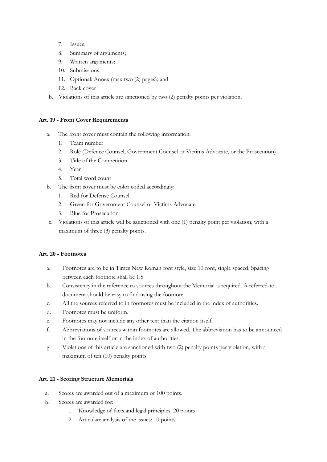- 7. Issues;
- 8. Summary of arguments;
- 9. Written arguments;
- 10. Submissions;
- 11. Optional: Annex (max two (2) pages); and
- 12. Back cover
- b. Violations of this article are sanctioned by two (2) penalty points per violation.

#### **Art. 19 - Front Cover Requirements**

- a. The front cover must contain the following information:
	- 1. Team number
	- 2. Role (Defence Counsel, Government Counsel or Victims Advocate, or the Prosecution)
	- 3. Title of the Competition
	- 4. Year
	- 5. Total word count
- b. The front cover must be color coded accordingly:
	- 1. Red for Defense Counsel
	- 2. Green for Government Counsel or Victims Advocate
	- 3. Blue for Prosecution
- c. Violations of this article will be sanctioned with one (1) penalty point per violation, with a maximum of three (3) penalty points.

#### **Art. 20 - Footnotes**

- a. Footnotes are to be in Times New Roman font style, size 10 font, single spaced. Spacing between each footnote shall be 1.5.
- b. Consistency in the reference to sources throughout the Memorial is required. A referred-to document should be easy to find using the footnote.
- c. All the sources referred to in footnotes must be included in the index of authorities.
- d. Footnotes must be uniform.
- e. Footnotes may not include any other text than the citation itself.
- f. Abbreviations of sources within footnotes are allowed. The abbreviation has to be announced in the footnote itself or in the index of authorities.
- g. Violations of this article are sanctioned with two (2) penalty points per violation, with a maximum of ten (10) penalty points.

#### **Art. 21 - Scoring Structure Memorials**

- a. Scores are awarded out of a maximum of 100 points.
- b. Scores are awarded for:
	- 1. Knowledge of facts and legal principles: 20 points
	- 2. Articulate analysis of the issues: 10 points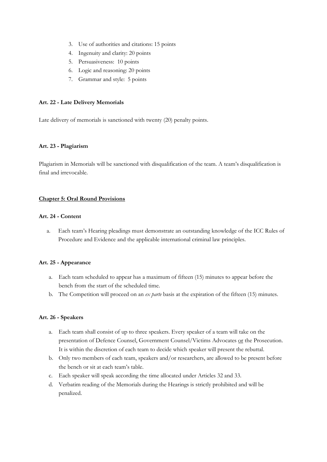- 3. Use of authorities and citations: 15 points
- 4. Ingenuity and clarity: 20 points
- 5. Persuasiveness: 10 points
- 6. Logic and reasoning: 20 points
- 7. Grammar and style: 5 points

#### **Art. 22 - Late Delivery Memorials**

Late delivery of memorials is sanctioned with twenty (20) penalty points.

#### **Art. 23 - Plagiarism**

Plagiarism in Memorials will be sanctioned with disqualification of the team. A team's disqualification is final and irrevocable.

#### **Chapter 5: Oral Round Provisions**

#### **Art. 24 - Content**

a. Each team's Hearing pleadings must demonstrate an outstanding knowledge of the ICC Rules of Procedure and Evidence and the applicable international criminal law principles.

#### **Art. 25 - Appearance**

- a. Each team scheduled to appear has a maximum of fifteen (15) minutes to appear before the bench from the start of the scheduled time.
- b. The Competition will proceed on an *ex parte* basis at the expiration of the fifteen (15) minutes.

#### **Art. 26 - Speakers**

- a. Each team shall consist of up to three speakers. Every speaker of a team will take on the presentation of Defence Counsel, Government Counsel/Victims Advocates or the Prosecution. It is within the discretion of each team to decide which speaker will present the rebuttal.
- b. Only two members of each team, speakers and/or researchers, are allowed to be present before the bench or sit at each team's table.
- c. Each speaker will speak according the time allocated under Articles 32 and 33.
- d. Verbatim reading of the Memorials during the Hearings is strictly prohibited and will be penalized.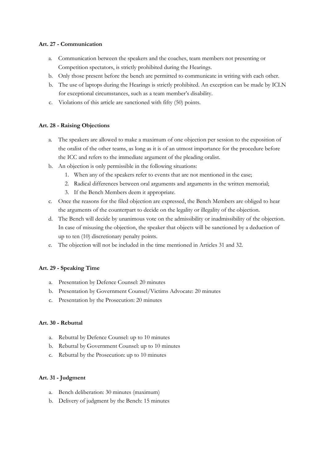### **Art. 27 - Communication**

- a. Communication between the speakers and the coaches, team members not presenting or Competition spectators, is strictly prohibited during the Hearings.
- b. Only those present before the bench are permitted to communicate in writing with each other.
- b. The use of laptops during the Hearings is strictly prohibited. An exception can be made by ICLN for exceptional circumstances, such as a team member's disability.
- c. Violations of this article are sanctioned with fifty (50) points.

# **Art. 28 - Raising Objections**

- a. The speakers are allowed to make a maximum of one objection per session to the exposition of the oralist of the other teams, as long as it is of an utmost importance for the procedure before the ICC and refers to the immediate argument of the pleading oralist.
- b. An objection is only permissible in the following situations:
	- 1. When any of the speakers refer to events that are not mentioned in the case;
	- 2. Radical differences between oral arguments and arguments in the written memorial;
	- 3. If the Bench Members deem it appropriate.
- c. Once the reasons for the filed objection are expressed, the Bench Members are obliged to hear the arguments of the counterpart to decide on the legality or illegality of the objection.
- d. The Bench will decide by unanimous vote on the admissibility or inadmissibility of the objection. In case of misusing the objection, the speaker that objects will be sanctioned by a deduction of up to ten (10) discretionary penalty points.
- e. The objection will not be included in the time mentioned in Articles 31 and 32.

#### **Art. 29 - Speaking Time**

- a. Presentation by Defence Counsel: 20 minutes
- b. Presentation by Government Counsel/Victims Advocate: 20 minutes
- c. Presentation by the Prosecution: 20 minutes

#### **Art. 30 - Rebuttal**

- a. Rebuttal by Defence Counsel: up to 10 minutes
- b. Rebuttal by Government Counsel: up to 10 minutes
- c. Rebuttal by the Prosecution: up to 10 minutes

#### **Art. 31 - Judgment**

- a. Bench deliberation: 30 minutes (maximum)
- b. Delivery of judgment by the Bench: 15 minutes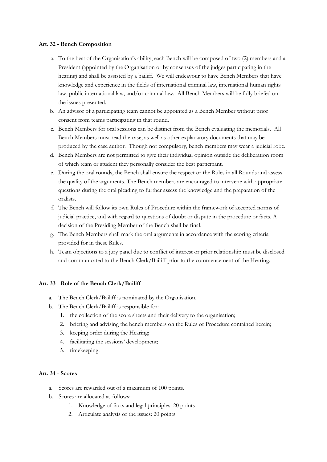#### **Art. 32 - Bench Composition**

- a. To the best of the Organisation's ability, each Bench will be composed of two (2) members and a President (appointed by the Organisation or by consensus of the judges participating in the hearing) and shall be assisted by a bailiff. We will endeavour to have Bench Members that have knowledge and experience in the fields of international criminal law, international human rights law, public international law, and/or criminal law. All Bench Members will be fully briefed on the issues presented.
- b. An advisor of a participating team cannot be appointed as a Bench Member without prior consent from teams participating in that round.
- c. Bench Members for oral sessions can be distinct from the Bench evaluating the memorials. All Bench Members must read the case, as well as other explanatory documents that may be produced by the case author. Though not compulsory, bench members may wear a judicial robe.
- d. Bench Members are not permitted to give their individual opinion outside the deliberation room of which team or student they personally consider the best participant.
- e. During the oral rounds, the Bench shall ensure the respect or the Rules in all Rounds and assess the quality of the arguments. The Bench members are encouraged to intervene with appropriate questions during the oral pleading to further assess the knowledge and the preparation of the oralists.
- f. The Bench will follow its own Rules of Procedure within the framework of accepted norms of judicial practice, and with regard to questions of doubt or dispute in the procedure or facts. A decision of the Presiding Member of the Bench shall be final.
- g. The Bench Members shall mark the oral arguments in accordance with the scoring criteria provided for in these Rules.
- h. Team objections to a jury panel due to conflict of interest or prior relationship must be disclosed and communicated to the Bench Clerk/Bailiff prior to the commencement of the Hearing.

#### **Art. 33 - Role of the Bench Clerk/Bailiff**

- a. The Bench Clerk/Bailiff is nominated by the Organisation.
- b. The Bench Clerk/Bailiff is responsible for:
	- 1. the collection of the score sheets and their delivery to the organisation;
	- 2. briefing and advising the bench members on the Rules of Procedure contained herein;
	- 3. keeping order during the Hearing;
	- 4. facilitating the sessions' development;
	- 5. timekeeping.

# **Art. 34 - Scores**

- a. Scores are rewarded out of a maximum of 100 points.
- b. Scores are allocated as follows:
	- 1. Knowledge of facts and legal principles: 20 points
	- 2. Articulate analysis of the issues: 20 points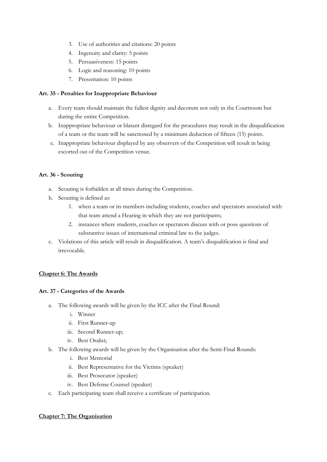- 3. Use of authorities and citations: 20 points
- 4. Ingenuity and clarity: 5 points
- 5. Persuasiveness: 15 points
- 6. Logic and reasoning: 10 points
- 7. Presentation: 10 points

# **Art. 35 - Penalties for Inappropriate Behaviour**

- a. Every team should maintain the fullest dignity and decorum not only in the Courtroom but during the entire Competition.
- b. Inappropriate behaviour or blatant disregard for the procedures may result in the disqualification of a team or the team will be sanctioned by a minimum deduction of fifteen (15) points.
- c. Inappropriate behaviour displayed by any observers of the Competition will result in being escorted out of the Competition venue.

# **Art. 36 - Scouting**

- a. Scouting is forbidden at all times during the Competition.
- b. Scouting is defined as:
	- 1. when a team or its members including students, coaches and spectators associated with that team attend a Hearing in which they are not participants;
	- 2. instances where students, coaches or spectators discuss with or pose questions of substantive issues of international criminal law to the judges.
- c. Violations of this article will result in disqualification. A team's disqualification is final and irrevocable.

# **Chapter 6: The Awards**

# **Art. 37 - Categories of the Awards**

- a. The following awards will be given by the ICC after the Final Round:
	- i. Winner
	- ii. First Runner-up
	- iii. Second Runner-up;
	- iv. Best Oralist;
- b. The following awards will be given by the Organisation after the Semi-Final Rounds:
	- i. Best Memorial
	- ii. Best Representative for the Victims (speaker)
	- iii. Best Prosecutor (speaker)
	- iv. Best Defense Counsel (speaker)
- c. Each participating team shall receive a certificate of participation.

# **Chapter 7: The Organisation**